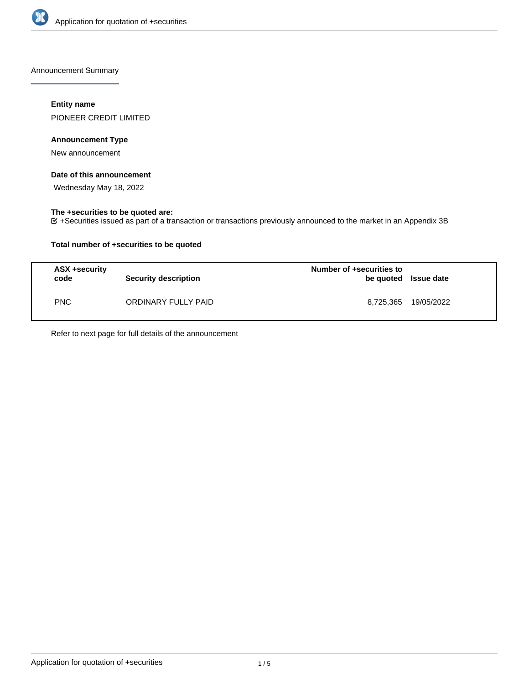

Announcement Summary

# **Entity name**

PIONEER CREDIT LIMITED

# **Announcement Type**

New announcement

# **Date of this announcement**

Wednesday May 18, 2022

# **The +securities to be quoted are:**

+Securities issued as part of a transaction or transactions previously announced to the market in an Appendix 3B

# **Total number of +securities to be quoted**

| ASX +security<br>code | <b>Security description</b> | Number of +securities to<br>be quoted Issue date |                      |
|-----------------------|-----------------------------|--------------------------------------------------|----------------------|
| <b>PNC</b>            | ORDINARY FULLY PAID         |                                                  | 8,725,365 19/05/2022 |

Refer to next page for full details of the announcement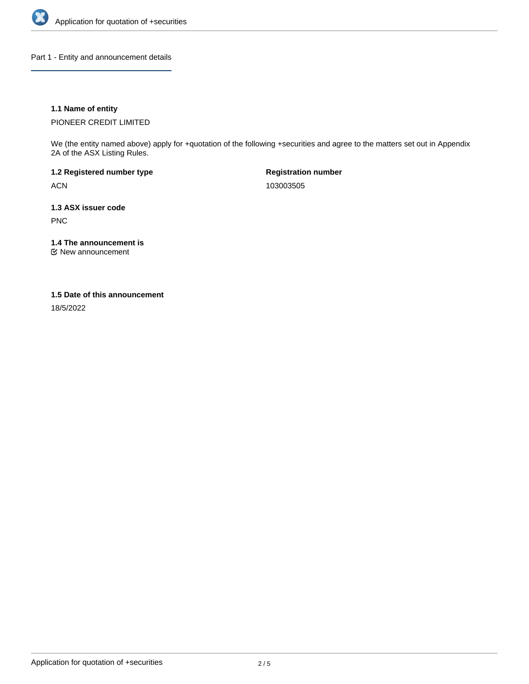

Part 1 - Entity and announcement details

# **1.1 Name of entity**

PIONEER CREDIT LIMITED

We (the entity named above) apply for +quotation of the following +securities and agree to the matters set out in Appendix 2A of the ASX Listing Rules.

**1.2 Registered number type** ACN

**Registration number** 103003505

**1.3 ASX issuer code** PNC

**1.4 The announcement is**

New announcement

### **1.5 Date of this announcement**

18/5/2022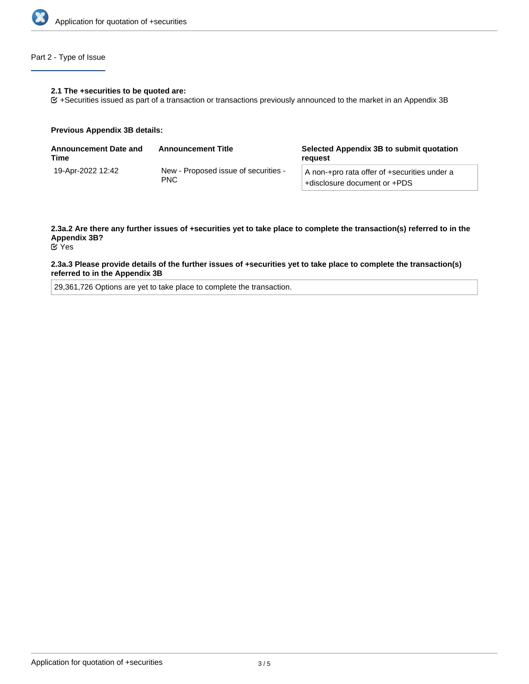

# Part 2 - Type of Issue

### **2.1 The +securities to be quoted are:**

+Securities issued as part of a transaction or transactions previously announced to the market in an Appendix 3B

#### **Previous Appendix 3B details:**

| <b>Announcement Date and</b><br>Time | <b>Announcement Title</b>                          | Selected Appendix 3B to submit quotation<br>reauest                          |
|--------------------------------------|----------------------------------------------------|------------------------------------------------------------------------------|
| 19-Apr-2022 12:42                    | New - Proposed issue of securities -<br><b>PNC</b> | A non-+pro rata offer of +securities under a<br>+disclosure document or +PDS |

# **2.3a.2 Are there any further issues of +securities yet to take place to complete the transaction(s) referred to in the Appendix 3B?**

Yes

### **2.3a.3 Please provide details of the further issues of +securities yet to take place to complete the transaction(s) referred to in the Appendix 3B**

29,361,726 Options are yet to take place to complete the transaction.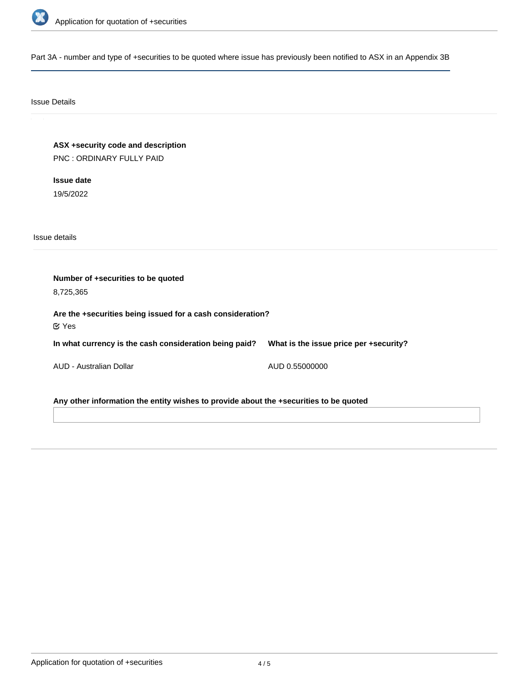

Part 3A - number and type of +securities to be quoted where issue has previously been notified to ASX in an Appendix 3B

# Issue Details

**ASX +security code and description** PNC : ORDINARY FULLY PAID

**Issue date** 19/5/2022

Issue details

**Number of +securities to be quoted** 8,725,365 **Are the +securities being issued for a cash consideration? In what currency is the cash consideration being paid?** AUD - Australian Dollar **What is the issue price per +security?** AUD 0.55000000 Yes

**Any other information the entity wishes to provide about the +securities to be quoted**